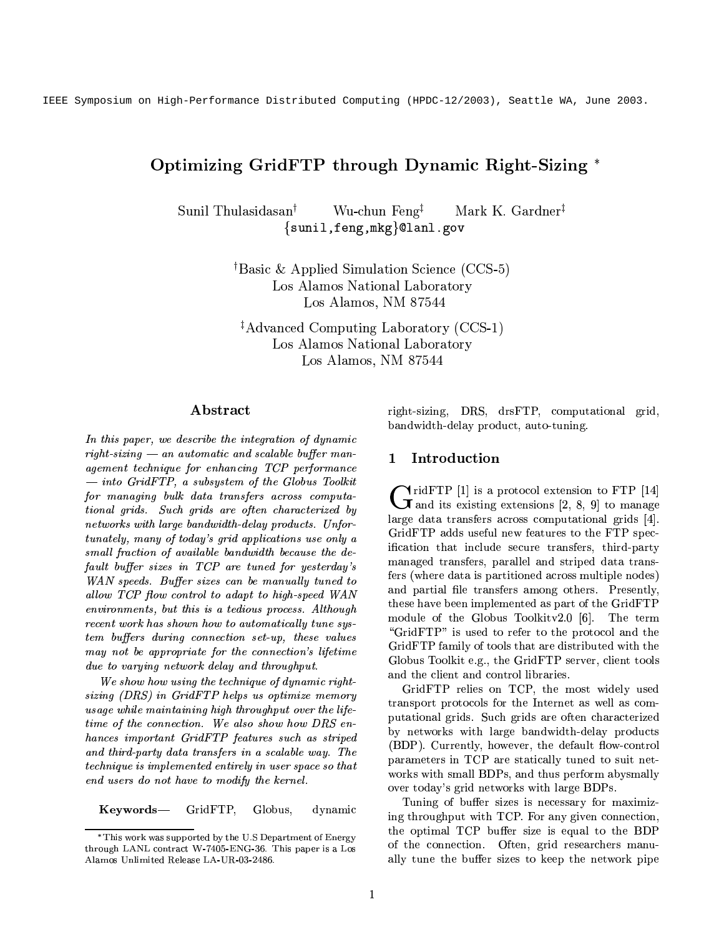IEEE Symposium on High-Performance Distributed Computing (HPDC-12/2003), Seattle WA, June 2003.

# Optimizing GridFTP through Dynamic Right-Sizing \*

Wu-chun Feng<sup>‡</sup> Mark K. Gardner<sup>‡</sup> Sunil Thulasidasan<sup>t</sup> {sunil, feng, mkg}@lanl.gov

> <sup>†</sup>Basic & Applied Simulation Science (CCS-5) Los Alamos National Laboratory Los Alamos, NM 87544

<sup>‡</sup>Advanced Computing Laboratory (CCS-1) Los Alamos National Laboratory Los Alamos, NM 87544

# Abstract

In this paper, we describe the integration of dynamic  $right-sizing$  — an automatic and scalable buffer management technique for enhancing TCP performance  $-$  into GridFTP, a subsystem of the Globus Toolkit for managing bulk data transfers across computational grids. Such grids are often characterized by networks with large bandwidth-delay products. Unfortunately, many of today's grid applications use only a small fraction of available bandwidth because the default buffer sizes in TCP are tuned for yesterday's WAN speeds. Buffer sizes can be manually tuned to allow TCP flow control to adapt to high-speed WAN environments, but this is a tedious process. Although recent work has shown how to automatically tune system buffers during connection set-up, these values may not be appropriate for the connection's lifetime due to varying network delay and throughput.

We show how using the technique of dynamic rightsizing (DRS) in GridFTP helps us optimize memory usage while maintaining high throughput over the lifetime of the connection. We also show how DRS enhances important GridFTP features such as striped and third-party data transfers in a scalable way. The technique is implemented entirely in user space so that end users do not have to modify the kernel.

Keywords— GridFTP, Globus, dynamic right-sizing, DRS, drsFTP, computational grid, bandwidth-delay product, auto-tuning.

#### 1 Introduction

 $\blacktriangle$  ridFTP [1] is a protocol extension to FTP [14]  $\int \frac{1}{\pi}$  and its existing extensions [2, 8, 9] to manage large data transfers across computational grids [4]. GridFTP adds useful new features to the FTP specification that include secure transfers, third-party managed transfers, parallel and striped data transfers (where data is partitioned across multiple nodes) and partial file transfers among others. Presently, these have been implemented as part of the GridFTP module of the Globus Toolkity2.0 [6]. The term "GridFTP" is used to refer to the protocol and the GridFTP family of tools that are distributed with the Globus Toolkit e.g., the GridFTP server, client tools and the client and control libraries.

GridFTP relies on TCP, the most widely used transport protocols for the Internet as well as computational grids. Such grids are often characterized by networks with large bandwidth-delay products (BDP). Currently, however, the default flow-control parameters in TCP are statically tuned to suit networks with small BDPs, and thus perform abysmally over today's grid networks with large BDPs.

Tuning of buffer sizes is necessary for maximizing throughput with TCP. For any given connection, the optimal TCP buffer size is equal to the BDP of the connection. Often, grid researchers manually tune the buffer sizes to keep the network pipe

<sup>\*</sup>This work was supported by the U.S Department of Energy through LANL contract W 7405-ENG-36. This paper is a Los Alamos Unlimited Release LA-UR-03-2486.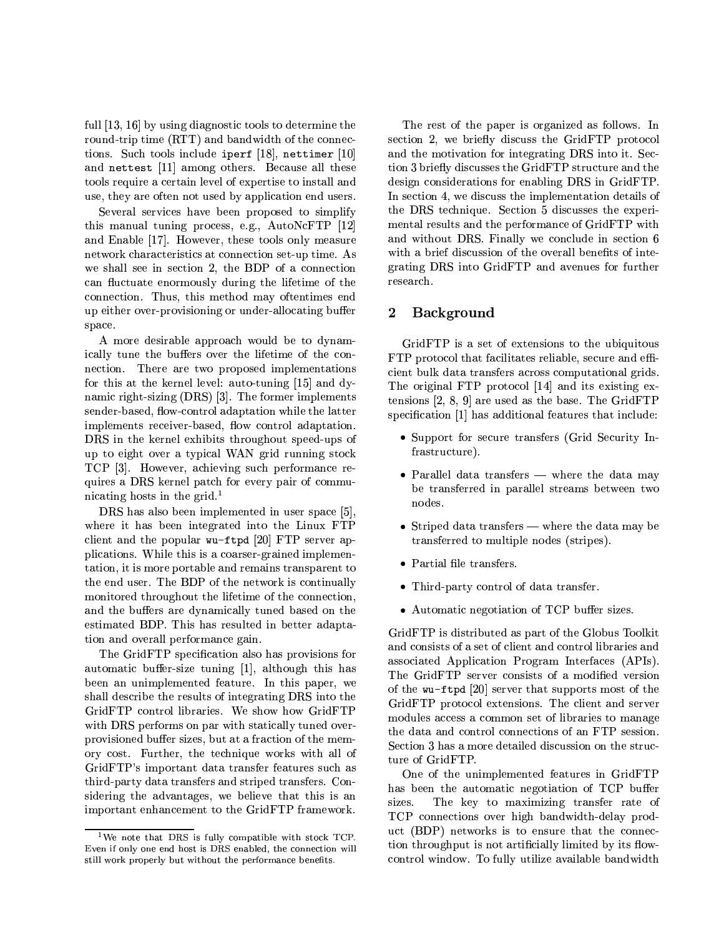full [13, 16] by using diagnostic tools to determine the round-trip time (RTT) and bandwidth of the connections. Such tools include iperf [18], nettimer [10] and nettest [11] among others. Because all these tools require a certain level of expertise to install and use, they are often not used by application end users.

Several services have been proposed to simplify this manual tuning process, e.g., AutoNcFTP [12] and Enable [17]. However, these tools only measure network characteristics at connection set-up time. As we shall see in section 2, the BDP of a connection can fluctuate enormously during the lifetime of the connection. Thus, this method may often times end up either over-provisioning or under-allocating buffer space.

A more desirable approach would be to dynamically tune the buffers over the lifetime of the connection. There are two proposed implementations for this at the kernel level: auto-tuning [15] and dynamic right-sizing (DRS) [3]. The former implements sender-based, flow-control adaptation while the latter implements receiver-based, flow control adaptation. DRS in the kernel exhibits throughout speed-ups of up to eight over a typical WAN grid running stock TCP [3]. However, achieving such performance requires a DRS kernel patch for every pair of communicating hosts in the grid.<sup>1</sup>

DRS has also been implemented in user space [5]. where it has been integrated into the Linux FTP client and the popular wu-ftpd [20] FTP server applications. While this is a coarser-grained implementation, it is more portable and remains transparent to the end user. The BDP of the network is continually monitored throughout the lifetime of the connection, and the buffers are dynamically tuned based on the estimated BDP. This has resulted in better adaptation and overall performance gain.

The GridFTP specification also has provisions for automatic buffer-size tuning [1], although this has been an unimplemented feature. In this paper, we shall describe the results of integrating DRS into the GridFTP control libraries. We show how GridFTP with DRS performs on par with statically tuned overprovisioned buffer sizes, but at a fraction of the memory cost. Further, the technique works with all of GridFTP's important data transfer features such as third-party data transfers and striped transfers. Considering the advantages, we believe that this is an important enhancement to the GridFTP framework.

The rest of the paper is organized as follows. In section 2, we briefly discuss the GridFTP protocol and the motivation for integrating DRS into it. Section 3 briefly discusses the GridFTP structure and the design considerations for enabling DRS in GridFTP. In section 4, we discuss the implementation details of the DRS technique. Section 5 discusses the experimental results and the performance of GridFTP with and without DRS. Finally we conclude in section 6 with a brief discussion of the overall benefits of integrating DRS into GridFTP and avenues for further research.

#### **Background**  $\bf{2}$

GridFTP is a set of extensions to the ubiquitous FTP protocol that facilitates reliable, secure and efficient bulk data transfers across computational grids. The original FTP protocol [14] and its existing extensions  $[2, 8, 9]$  are used as the base. The GridFTP specification [1] has additional features that include:

- Support for secure transfers (Grid Security Infrastructure).
- Parallel data transfers where the data may be transferred in parallel streams between two nodes.
- Striped data transfers  $-$  where the data may be transferred to multiple nodes (stripes).
- Partial file transfers.
- Third-party control of data transfer.
- Automatic negotiation of TCP buffer sizes.

GridFTP is distributed as part of the Globus Toolkit and consists of a set of client and control libraries and associated Application Program Interfaces (APIs). The GridFTP server consists of a modified version of the wu-ftpd [20] server that supports most of the GridFTP protocol extensions. The client and server modules access a common set of libraries to manage the data and control connections of an FTP session. Section 3 has a more detailed discussion on the structure of GridFTP.

One of the unimplemented features in GridFTP has been the automatic negotiation of TCP buffer The key to maximizing transfer rate of sizes. TCP connections over high bandwidth-delay product (BDP) networks is to ensure that the connection throughput is not artificially limited by its flowcontrol window. To fully utilize available bandwidth

<sup>&</sup>lt;sup>1</sup>We note that DRS is fully compatible with stock TCP. Even if only one end host is DRS enabled, the connection will still work properly but without the performance benefits.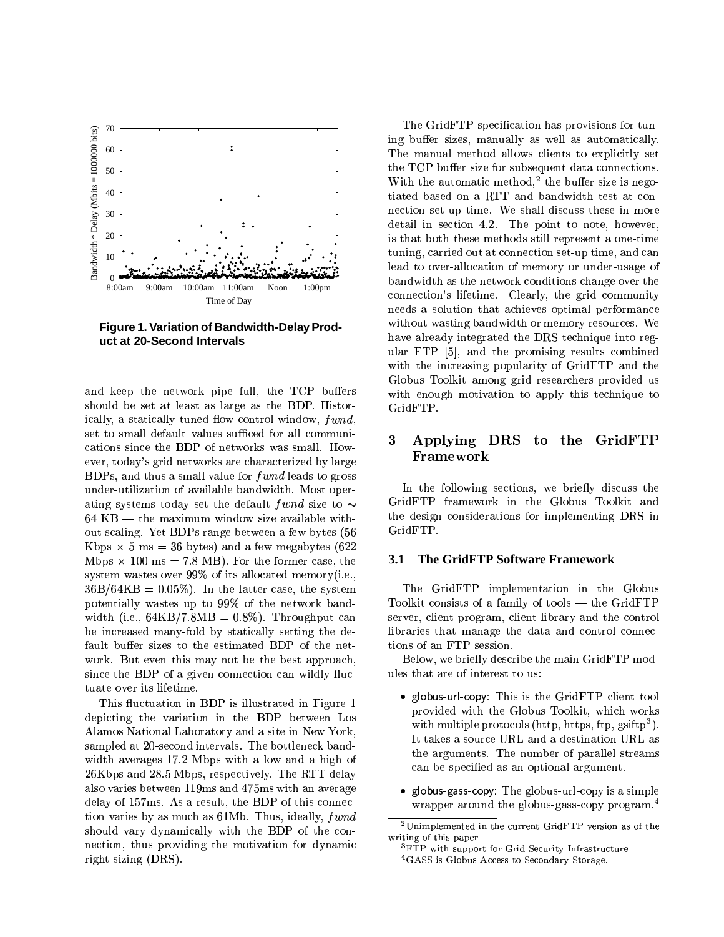

Figure 1. Variation of Bandwidth-Delay Product at 20-Second Intervals

and keep the network pipe full, the TCP buffers should be set at least as large as the BDP. Historically, a statically tuned flow-control window, fwnd, set to small default values sufficed for all communications since the BDP of networks was small. However, today's grid networks are characterized by large BDPs, and thus a small value for f *wnd* leads to gross under-utilization of available bandwidth. Most operating systems today set the default fwnd size to  $\sim$  $64$  KB — the maximum window size available without scaling. Yet BDPs range between a few bytes (56 Kbps  $\times$  5 ms = 36 bytes) and a few megabytes (622 Mbps  $\times$  100 ms = 7.8 MB). For the former case, the system wastes over 99% of its allocated memory (*i.e.*,  $36B/64KB = 0.05\%$ . In the latter case, the system potentially wastes up to 99% of the network bandwidth (i.e.,  $64KB/7.8MB = 0.8\%$ ). Throughput can be increased many-fold by statically setting the default buffer sizes to the estimated BDP of the network. But even this may not be the best approach, since the BDP of a given connection can wildly fluctuate over its lifetime.

This fluctuation in BDP is illustrated in Figure 1 depicting the variation in the BDP between Los Alamos National Laboratory and a site in New York, sampled at 20-second intervals. The bottleneck bandwidth averages 17.2 Mbps with a low and a high of 26Kbps and 28.5 Mbps, respectively. The RTT delay also varies between 119ms and 475ms with an average delay of 157ms. As a result, the BDP of this connection varies by as much as 61Mb. Thus, ideally,  $fwnd$ should vary dynamically with the BDP of the connection, thus providing the motivation for dynamic right-sizing (DRS).

The GridFTP specification has provisions for tuning buffer sizes, manually as well as automatically. The manual method allows clients to explicitly set the TCP buffer size for subsequent data connections. With the automatic method,<sup>2</sup> the buffer size is negotiated based on a RTT and bandwidth test at connection set-up time. We shall discuss these in more detail in section 4.2. The point to note, however, is that both these methods still represent a one-time tuning, carried out at connection set-up time, and can lead to over-allocation of memory or under-usage of bandwidth as the network conditions change over the connection's lifetime. Clearly, the grid community needs a solution that achieves optimal performance without wasting bandwidth or memory resources. We have already integrated the DRS technique into regular FTP [5], and the promising results combined with the increasing popularity of GridFTP and the Globus Toolkit among grid researchers provided us with enough motivation to apply this technique to GridFTP.

#### $\bf{3}$ Applying DRS to the GridFTP Framework

In the following sections, we briefly discuss the GridFTP framework in the Globus Toolkit and the design considerations for implementing DRS in GridFTP.

#### The GridFTP Software Framework 3.1

The GridFTP implementation in the Globus Toolkit consists of a family of tools  $-$  the GridFTP server, client program, client library and the control libraries that manage the data and control connections of an FTP session.

Below, we briefly describe the main GridFTP modules that are of interest to us:

- globus-url-copy: This is the GridFTP client tool provided with the Globus Toolkit, which works with multiple protocols (http. https, ftp.  $\text{csiftp}^3$ ). It takes a source URL and a destination URL as the arguments. The number of parallel streams can be specified as an optional argument.
- · globus-gass-copy: The globus-url-copy is a simple wrapper around the globus-gass-copy program.<sup>4</sup>

 $^2$  Unimplemented in the current GridFTP version as of the  $\,$ writing of this paper

<sup>&</sup>lt;sup>3</sup>FTP with support for Grid Security Infrastructure. <sup>4</sup>GASS is Globus Access to Secondary Storage.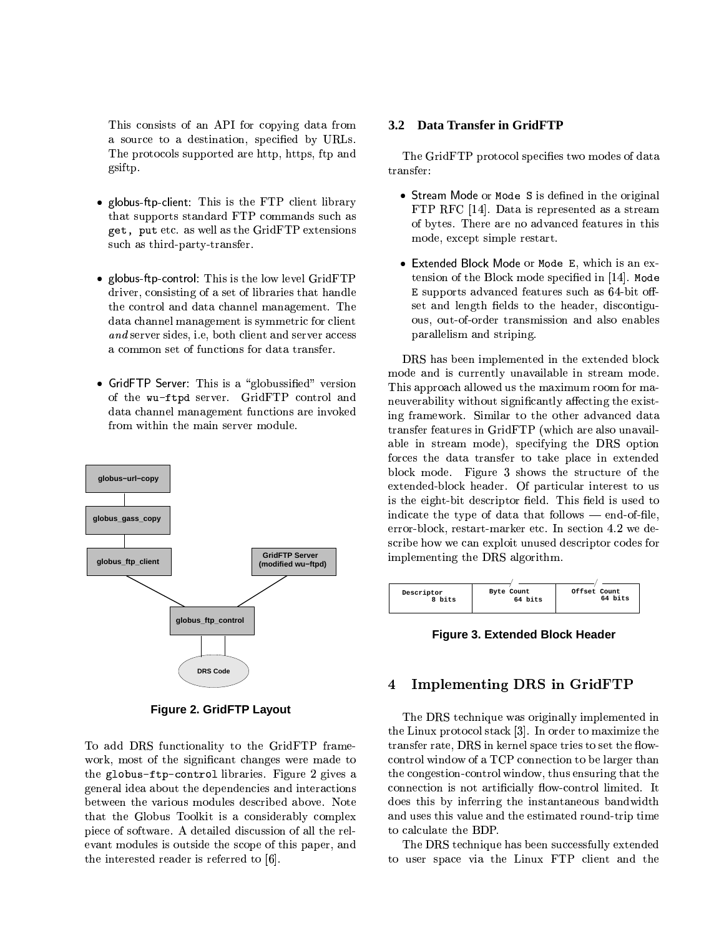¡o "|Vp%~f¬f kE¿Ud"}sn fp%d| a source to a destination, specified by URLs.  $\blacksquare$  and  $\blacksquare$  and  $\blacksquare$ gsiftp.

- $\mathbb{R}^n$  . The final position of  $\mathbb{R}^n$  is the final position of  $\mathbb{R}^n$ that supports standard FTP commands such as  $\rho$  factor in  $\rho$  in  $\rho$  factor is the set of  $\rho$ such as third-party-transfer.
- <sup>E</sup> 7<9 :+;= >@ G@NEI: C:<9 <sup>J</sup> ¡o A po«sH¥²tM%   $\blacksquare$  . The following the set of the set of the set of the set of the set of the set of the set of the set of the set of the set of the set of the set of the set of the set of the set of the set of the set of the set of the control and data channel management. The  $f$  . The state of the state of the state of the state of the state of the state of the state of the state of the state of the state of the state of the state of the state of the state of the state of the state of the sta ↑ A Vt + A vt + A vt + A vt + A vt + A vt + A vt + A vt + A vt + A vt + A vt + A vt + A vt + A vt + A vt + A vt a common set of functions for data transfer.
- $\mathcal{L}$  if the  $\mathcal{L}$  and  $\mathcal{L}$  is  $\mathcal{L}$  and  $\mathcal{L}$  is  $\mathcal{L}$  is the set of  $\mathcal{L}$  $\alpha$  , the contract of  $\alpha$  is the contract of  $\alpha$ data channel management functions are invoked from within the main server module.



**Figure 2. GridFTP Layout**

To add DRS functionality to the GridFTP framework, most of the significant changes were made to  $\mathbf{r}$  , and the  $\mathbf{r}$  , and  $\mathbf{r}$ general idea about the dependencies and interactions between the various modules described above. Note pomenta and the same of the same of the same of the same of the same of the same of the same of the same of the piece of software. A detailed discussion of all the reland the solution of the solution of the solution of the solution of the solution of the solution of the solution of the solution of the solution of the solution of the solution of the solution of the solution of the soluti the interested reader is referred to  $[6]$ .

### **3.2 Data Transfer in GridFTP**

 $\mathbb{R}^n$  : at the contract of the contract of the contract of the contract of the contract of the contract of the contract of the contract of the contract of the contract of the contract of the contract of the contract transfer:

- $\bullet\,$  Stream Mode or <code>Mode S</code> is defined in the original  $\,$ the contract of the contract of the contract of the contract of the contract of the contract of the contract of the contract of the contract of the contract of the contract of the contract of the contract of the contract o of bytes. There are no advanced features in this mode, except simple restart.
- $\bullet$  Extended Block Mode or Mode-E, which is an extension of the Block mode specified in [14]. Mode E supports advanced features such as 64-bit off- $\sim$  . The contract of the contract of the contract of the contract of the contract of the contract of the contract of the contract of the contract of the contract of the contract of the contract of the contract of the co ous, out-of-order transmission and also enables parallelism and striping.

DRS has been implemented in the extended block  $\sim$  . The contract of the contract of the contract of the contract of the contract of the contract of the contract of the contract of the contract of the contract of the contract of the contract of the contract of the co This approach allowed us the maximum room for ma- $\mathbf{r}$  , and  $\mathbf{r}$  and  $\mathbf{r}$  and  $\mathbf{r}$  and  $\mathbf{r}$  and  $\mathbf{r}$  $\mathbf{r}$  and  $\mathbf{r}$  and  $\mathbf{r}$  and  $\mathbf{r}$  and  $\mathbf{r}$  and  $\mathbf{r}$  and  $\mathbf{r}$  and  $\mathbf{r}$  $\alpha$  and  $\alpha$  in the state of  $\alpha$  is the state of  $\alpha$ able in stream mode), specifying the DRS option  $\blacksquare$  to the contract of the contract of the contract of the contract of the contract of the contract of the contract of the contract of the contract of the contract of the contract of the contract of the contract of the block mode. Figure 3 shows the structure of the extended-block header. Of particular interest to us  $\mathcal{L}$  , and  $\mathcal{L}$  is the positive of  $\mathcal{L}$  . The positive of  $\mathcal{L}$  is the positive of  $\mathcal{L}$  , and  $\mathcal{L}$  $\cdot$  . The particle is the contract of the contract of the contract of the contract of the contract of the contract of the contract of the contract of the contract of the contract of the contract of the contract of the co error-block, restart-marker etc. In section 4.2 we describe how we can exploit unused descriptor codes for implementing the DRS algorithm.



**Figure 3. Extended Block Header**

## 4 Implementing DRS in GridFTP

 $\blacksquare$  . The matrix is the state of the state of the state of the state of the state of the state of the state of the state of the state of the state of the state of the state of the state of the state of the state of the the Linux protocol stack [3]. In order to maximize the transfer rate. DRS in kernel space tries to set the flow- $\blacksquare$  -p $\blacksquare$  -positive point point point point point point point point point point point point point point point point point point point point point point point point point point point point point point point point poi the congestion-control window, thus ensuring that the connection is not artificially flow-control limited. It  $\mathcal{L}$  that is a constant of the constant of the constant of the constant of the constant of the constant of the constant of the constant of the constant of the constant of the constant of the constant of the constant o  $\mathcal{N}$  and  $\mathcal{N}$  are the set of  $\mathcal{N}$  . The set of  $\mathcal{N}$  is the set of  $\mathcal{N}$  is the set of  $\mathcal{N}$ to calculate the BDP.

The DRS technique has been successfully extended p ¥V}M"¦²- p%o ('s "-p¥ ±po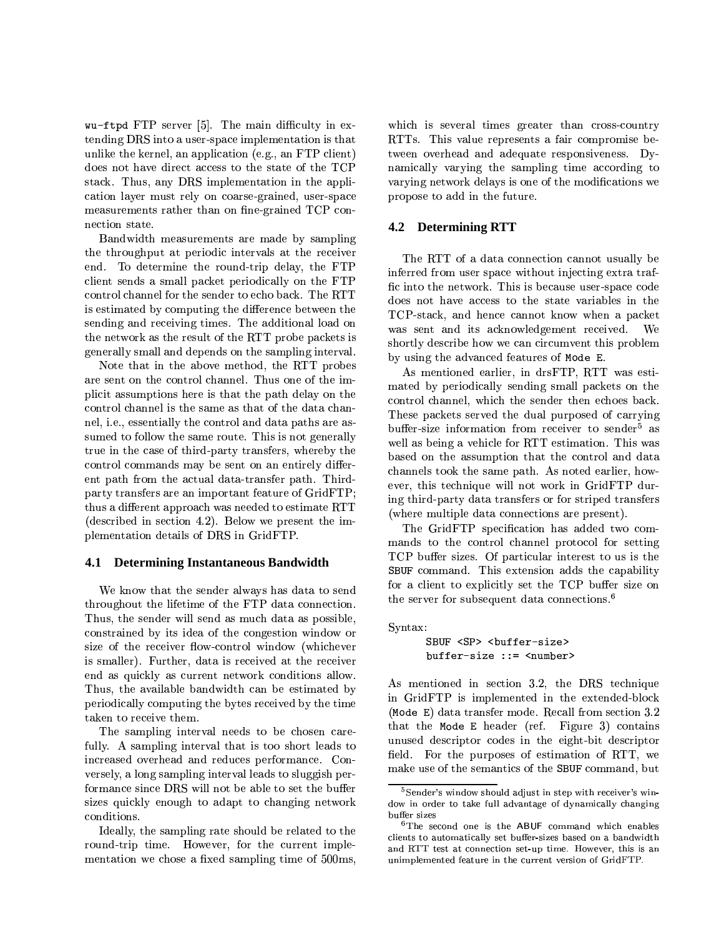wu-ftpd FTP server [5]. The main difficulty in extending DRS into a user-space implementation is that unlike the kernel, an application (e.g., an FTP client) does not have direct access to the state of the TCP stack. Thus, any DRS implementation in the application layer must rely on coarse-grained, user-space measurements rather than on fine-grained TCP connection state.

Bandwidth measurements are made by sampling the throughput at periodic intervals at the receiver end. To determine the round-trip delay, the FTP client sends a small packet periodically on the FTP control channel for the sender to echo back. The RTT is estimated by computing the difference between the sending and receiving times. The additional load on the network as the result of the RTT probe packets is generally small and depends on the sampling interval.

Note that in the above method, the RTT probes are sent on the control channel. Thus one of the implicit assumptions here is that the path delay on the control channel is the same as that of the data channel, i.e., essentially the control and data paths are assumed to follow the same route. This is not generally true in the case of third-party transfers, whereby the control commands may be sent on an entirely different path from the actual data-transfer path. Thirdparty transfers are an important feature of GridFTP; thus a different approach was needed to estimate RTT (described in section 4.2). Below we present the implementation details of DRS in GridFTP.

### 4.1 Determining Instantaneous Bandwidth

We know that the sender always has data to send throughout the lifetime of the FTP data connection. Thus, the sender will send as much data as possible. constrained by its idea of the congestion window or size of the receiver flow-control window (whichever is smaller). Further, data is received at the receiver end as quickly as current network conditions allow. Thus, the available bandwidth can be estimated by periodically computing the bytes received by the time taken to receive them.

The sampling interval needs to be chosen carefully. A sampling interval that is too short leads to increased overhead and reduces performance. Conversely, a long sampling interval leads to sluggish performance since DRS will not be able to set the buffer sizes quickly enough to adapt to changing network conditions.

Ideally, the sampling rate should be related to the round-trip time. However, for the current implementation we chose a fixed sampling time of 500ms,

which is several times greater than cross-country RTTs. This value represents a fair compromise between overhead and adequate responsiveness. Dynamically varying the sampling time according to varying network delays is one of the modifications we propose to add in the future.

### **4.2 Determining RTT**

The RTT of a data connection cannot usually be inferred from user space without injecting extra traffic into the network. This is because user-space code does not have access to the state variables in the TCP-stack, and hence cannot know when a packet was sent and its acknowledgement received. We shortly describe how we can circumvent this problem by using the advanced features of Mode E.

As mentioned earlier, in drsFTP, RTT was estimated by periodically sending small packets on the control channel, which the sender then echoes back. These packets served the dual purposed of carrying buffer-size information from receiver to sender<sup>5</sup> as well as being a vehicle for RTT estimation. This was based on the assumption that the control and data channels took the same path. As noted earlier, however, this technique will not work in GridFTP during third-party data transfers or for striped transfers (where multiple data connections are present).

The GridFTP specification has added two commands to the control channel protocol for setting TCP buffer sizes. Of particular interest to us is the SBUF command. This extension adds the capability for a client to explicitly set the TCP buffer size on the server for subsequent data connections.<sup>6</sup>

Syntax:

buffer-size ::= <number>

As mentioned in section 3.2, the DRS technique in GridFTP is implemented in the extended-block (Mode E) data transfer mode. Recall from section 3.2 that the Mode E header (ref. Figure 3) contains unused descriptor codes in the eight-bit descriptor field. For the purposes of estimation of RTT, we make use of the semantics of the SBUF command, but

<sup>&</sup>lt;sup>5</sup>Sender's window should adjust in step with receiver's window in order to take full advantage of dynamically changing buffer sizes

<sup>&</sup>lt;sup>6</sup>The second one is the ABUF command which enables clients to automatically set buffer-sizes based on a bandwidth and RTT test at connection set up time. However, this is an unimplemented feature in the current version of GridFTP.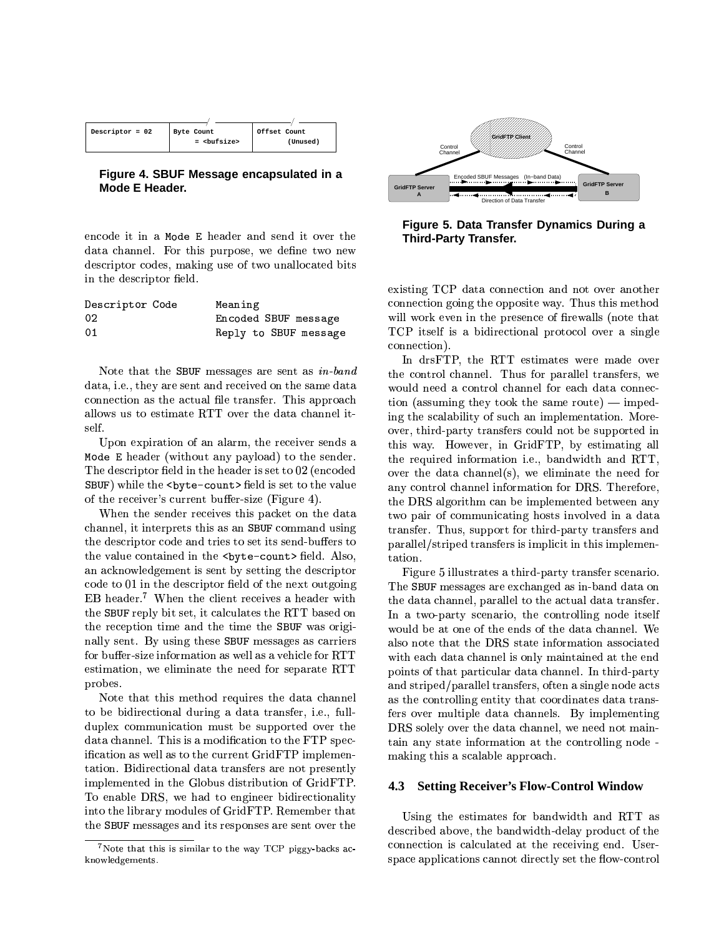| Descriptor = $02$<br>Byte Count | Offset Count<br>$=$ $\langle \text{butsize} \rangle$<br>(Unused) |
|---------------------------------|------------------------------------------------------------------|
|---------------------------------|------------------------------------------------------------------|

Figure 4. SBUF Message encapsulated in a Mode E Header.

encode it in a Mode E header and send it over the data channel. For this purpose, we define two new descriptor codes, making use of two unallocated bits in the descriptor field.

| Descriptor Code | Meaning               |
|-----------------|-----------------------|
| 02              | Encoded SBUF message  |
| 01              | Reply to SBUF message |

Note that the SBUF messages are sent as  $in-band$ data, i.e., they are sent and received on the same data connection as the actual file transfer. This approach allows us to estimate RTT over the data channel itself.

Upon expiration of an alarm, the receiver sends a Mode E header (without any payload) to the sender. The descriptor field in the header is set to 02 (encoded SBUF) while the <br/>>byte-count> field is set to the value of the receiver's current buffer-size (Figure 4).

When the sender receives this packet on the data channel, it interprets this as an SBUF command using the descriptor code and tries to set its send-buffers to the value contained in the <br/>byte-count> field. Also, an acknowledgement is sent by setting the descriptor code to 01 in the descriptor field of the next outgoing EB header.<sup>7</sup> When the client receives a header with the SBUF reply bit set, it calculates the RTT based on the reception time and the time the SBUF was originally sent. By using these SBUF messages as carriers for buffer-size information as well as a vehicle for RTT estimation, we eliminate the need for separate RTT probes.

Note that this method requires the data channel to be bidirectional during a data transfer, i.e., fullduplex communication must be supported over the data channel. This is a modification to the FTP specification as well as to the current GridFTP implementation. Bidirectional data transfers are not presently implemented in the Globus distribution of GridFTP. To enable DRS, we had to engineer bidirectionality into the library modules of GridFTP. Remember that the SBUF messages and its responses are sent over the



Figure 5. Data Transfer Dynamics During a **Third-Party Transfer.** 

existing TCP data connection and not over another connection going the opposite way. Thus this method will work even in the presence of firewalls (note that TCP itself is a bidirectional protocol over a single connection).

In drsFTP, the RTT estimates were made over the control channel. Thus for parallel transfers, we would need a control channel for each data connection (assuming they took the same route)  $-$  impeding the scalability of such an implementation. Moreover, third-party transfers could not be supported in this way. However, in GridFTP, by estimating all the required information i.e., bandwidth and RTT, over the data channel(s), we eliminate the need for any control channel information for DRS. Therefore, the DRS algorithm can be implemented between any two pair of communicating hosts involved in a data transfer. Thus, support for third-party transfers and parallel/striped transfers is implicit in this implementation.

Figure 5 illustrates a third-party transfer scenario. The SBUF messages are exchanged as in-band data on the data channel, parallel to the actual data transfer. In a two-party scenario, the controlling node itself would be at one of the ends of the data channel. We also note that the DRS state information associated with each data channel is only maintained at the end points of that particular data channel. In third-party and striped/parallel transfers, often a single node acts as the controlling entity that coordinates data transfers over multiple data channels. By implementing DRS solely over the data channel, we need not maintain any state information at the controlling node making this a scalable approach.

#### **Setting Receiver's Flow-Control Window** 4.3

Using the estimates for bandwidth and RTT as described above, the bandwidth-delay product of the connection is calculated at the receiving end. Userspace applications cannot directly set the flow-control

<sup>&</sup>lt;sup>7</sup>Note that this is similar to the way TCP piggy-backs acknowledgements.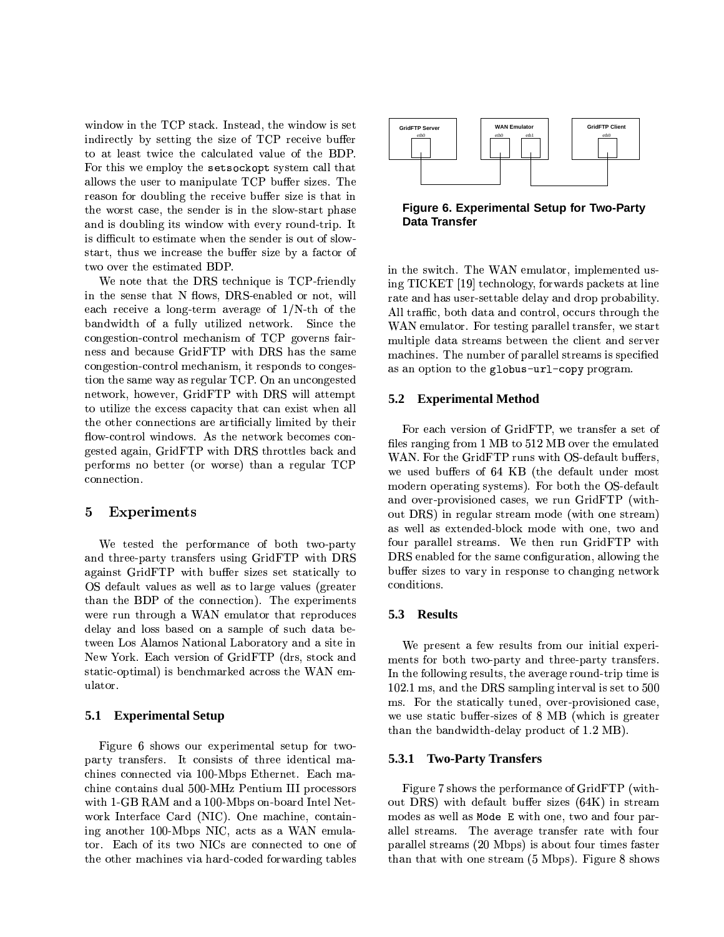window in the TCP stack. Instead, the window is set indirectly by setting the size of TCP receive buffer to at least twice the calculated value of the BDP. For this we employ the set sockopt system call that allows the user to manipulate TCP buffer sizes. The reason for doubling the receive buffer size is that in the worst case, the sender is in the slow-start phase and is doubling its window with every round-trip. It is difficult to estimate when the sender is out of slowstart, thus we increase the buffer size by a factor of two over the estimated BDP.

We note that the DRS technique is TCP-friendly in the sense that N flows, DRS-enabled or not, will each receive a long-term average of  $1/N$ -th of the bandwidth of a fully utilized network. Since the congestion-control mechanism of TCP governs fairness and because GridFTP with DRS has the same congestion-control mechanism, it responds to congestion the same way as regular TCP. On an uncongested network, however, GridFTP with DRS will attempt to utilize the excess capacity that can exist when all the other connections are artificially limited by their flow-control windows. As the network becomes congested again, GridFTP with DRS throttles back and performs no better (or worse) than a regular TCP connection.

#### $\bf{5}$ Experiments

We tested the performance of both two-party and three-party transfers using GridFTP with DRS against GridFTP with buffer sizes set statically to OS default values as well as to large values (greater than the BDP of the connection). The experiments were run through a WAN emulator that reproduces delay and loss based on a sample of such data between Los Alamos National Laboratory and a site in New York. Each version of GridFTP (drs, stock and static-optimal) is benchmarked across the WAN emulator.

### **5.1 Experimental Setup**

Figure 6 shows our experimental setup for twoparty transfers. It consists of three identical machines connected via 100-Mbps Ethernet. Each machine contains dual 500-MHz Pentium III processors with 1-GB RAM and a 100-Mbps on-board Intel Network Interface Card (NIC). One machine, containing another 100-Mbps NIC, acts as a WAN emulator. Each of its two NICs are connected to one of the other machines via hard-coded forwarding tables



Figure 6. Experimental Setup for Two-Party **Data Transfer** 

in the switch. The WAN emulator, implemented using TICKET [19] technology, forwards packets at line rate and has user-settable delay and drop probability. All traffic, both data and control, occurs through the WAN emulator. For testing parallel transfer, we start multiple data streams between the client and server machines. The number of parallel streams is specified as an option to the globus-url-copy program.

#### **Experimental Method** 5.2

For each version of GridFTP, we transfer a set of files ranging from 1 MB to 512 MB over the emulated WAN. For the GridFTP runs with OS-default buffers, we used buffers of 64 KB (the default under most modern operating systems). For both the OS-default and over-provisioned cases, we run GridFTP (without DRS) in regular stream mode (with one stream) as well as extended-block mode with one, two and four parallel streams. We then run GridFTP with DRS enabled for the same configuration, allowing the buffer sizes to vary in response to changing network conditions.

### 5.3 Results

We present a few results from our initial experiments for both two-party and three-party transfers. In the following results, the average round-trip time is 102.1 ms, and the DRS sampling interval is set to 500 ms. For the statically tuned, over-provisioned case, we use static buffer-sizes of 8 MB (which is greater than the bandwidth-delay product of 1.2 MB).

### **5.3.1 Two-Party Transfers**

Figure 7 shows the performance of GridFTP (without DRS) with default buffer sizes (64K) in stream modes as well as Mode E with one, two and four parallel streams. The average transfer rate with four parallel streams (20 Mbps) is about four times faster than that with one stream (5 Mbps). Figure 8 shows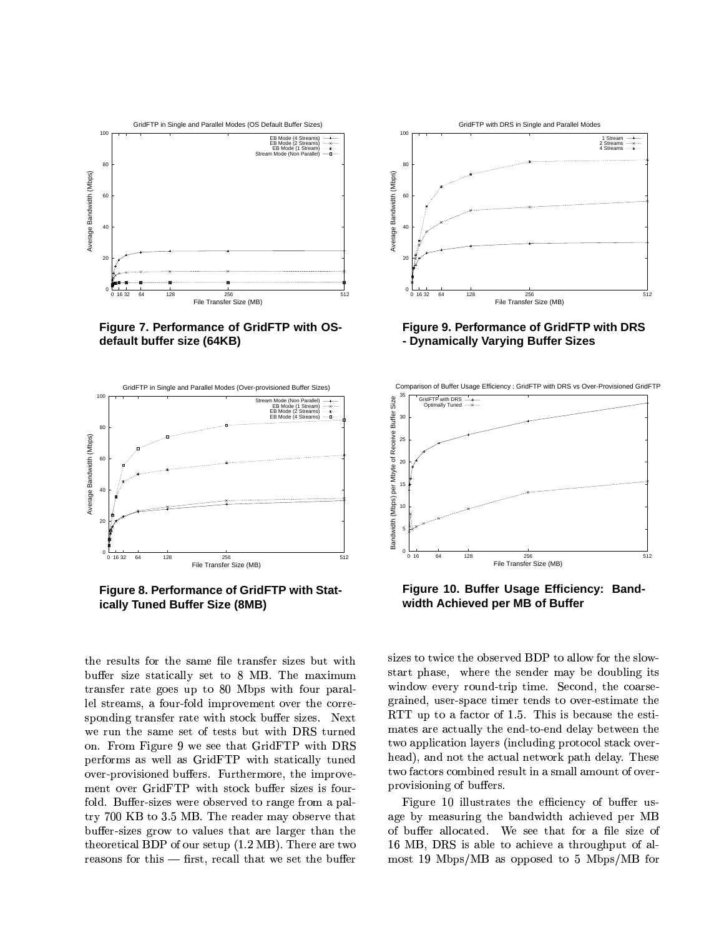

Figure 7. Performance of GridFTP with OSdefault buffer size (64KB)



Figure 8. Performance of GridFTP with Statically Tuned Buffer Size (8MB)

the results for the same file transfer sizes but with buffer size statically set to 8 MB. The maximum transfer rate goes up to 80 Mbps with four parallel streams, a four-fold improvement over the corresponding transfer rate with stock buffer sizes. Next we run the same set of tests but with DRS turned on. From Figure 9 we see that GridFTP with DRS performs as well as GridFTP with statically tuned over-provisioned buffers. Furthermore, the improvement over GridFTP with stock buffer sizes is fourfold. Buffer-sizes were observed to range from a paltry 700 KB to 3.5 MB. The reader may observe that buffer-sizes grow to values that are larger than the theoretical BDP of our setup (1.2 MB). There are two reasons for this – first, recall that we set the buffer



### Figure 9. Performance of GridFTP with DRS - Dynamically Varying Buffer Sizes



Figure 10. Buffer Usage Efficiency: Bandwidth Achieved per MB of Buffer

sizes to twice the observed BDP to allow for the slowstart phase, where the sender may be doubling its window every round-trip time. Second, the coarsegrained, user-space timer tends to over-estimate the RTT up to a factor of 1.5. This is because the estimates are actually the end-to-end delay between the two application layers (including protocol stack overhead), and not the actual network path delay. These two factors combined result in a small amount of overprovisioning of buffers.

Figure 10 illustrates the efficiency of buffer usage by measuring the bandwidth achieved per MB of buffer allocated. We see that for a file size of 16 MB, DRS is able to achieve a throughput of almost 19 Mbps/MB as opposed to 5 Mbps/MB for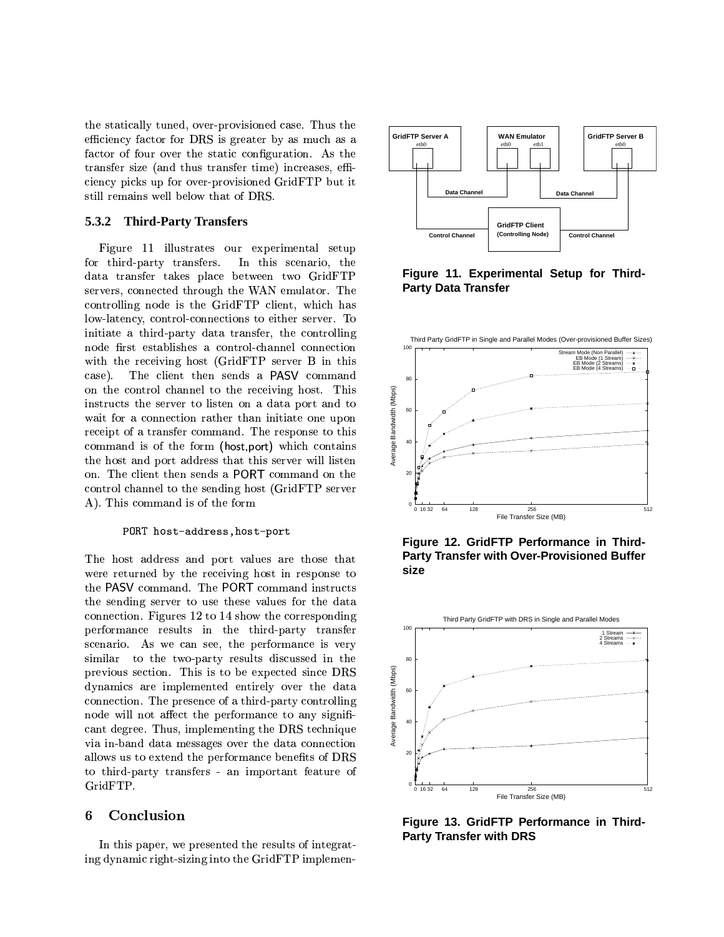the statically tuned, over-provisioned case. Thus the efficiency factor for DRS is greater by as much as a factor of four over the static configuration. As the transfer size (and thus transfer time) increases, efficiency picks up for over-provisioned GridFTP but it still remains well below that of DRS.

#### **Third-Party Transfers** 5.3.2

Figure 11 illustrates our experimental setup for third-party transfers. In this scenario, the data transfer takes place between two GridFTP servers, connected through the WAN emulator. The controlling node is the GridFTP client, which has low-latency, control-connections to either server. To initiate a third-party data transfer, the controlling node first establishes a control-channel connection with the receiving host (GridFTP server B in this case). The client then sends a PASV command on the control channel to the receiving host. This instructs the server to listen on a data port and to wait for a connection rather than initiate one upon receipt of a transfer command. The response to this command is of the form (host port) which contains the host and port address that this server will listen on. The client then sends a PORT command on the control channel to the sending host (GridFTP server A). This command is of the form

### PORT host-address, host-port

The host address and port values are those that were returned by the receiving host in response to the PASV command. The PORT command instructs the sending server to use these values for the data connection. Figures 12 to 14 show the corresponding performance results in the third-party transfer scenario. As we can see, the performance is very similar to the two-party results discussed in the previous section. This is to be expected since DRS dynamics are implemented entirely over the data connection. The presence of a third-party controlling node will not affect the performance to any significant degree. Thus, implementing the DRS technique via in-band data messages over the data connection allows us to extend the performance benefits of DRS to third-party transfers - an important feature of GridFTP.

#### 6 Conclusion

In this paper, we presented the results of integrating dynamic right-sizing into the GridFTP implemen-



Figure 11. Experimental Setup for Third-**Party Data Transfer** 



Figure 12. GridFTP Performance in Third-**Party Transfer with Over-Provisioned Buffer** size



Figure 13. GridFTP Performance in Third-**Party Transfer with DRS**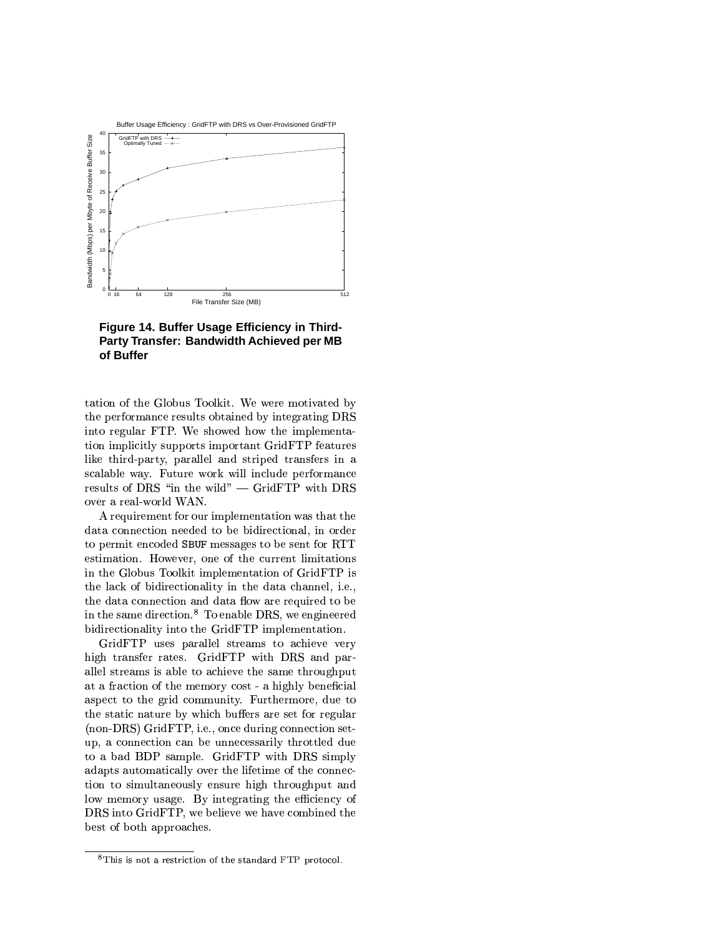

Figure 14. Buffer Usage Efficiency in Third-Party Transfer: Bandwidth Achieved per MB of Buffer

tation of the Globus Toolkit. We were motivated by the performance results obtained by integrating DRS into regular FTP. We showed how the implementation implicitly supports important GridFTP features like third-party, parallel and striped transfers in a scalable way. Future work will include performance results of DRS "in the wild" — GridFTP with DRS over a real-world WAN.

A requirement for our implementation was that the data connection needed to be bidirectional, in order to permit encoded SBUF messages to be sent for RTT estimation. However, one of the current limitations in the Globus Toolkit implementation of GridFTP is the lack of bidirectionality in the data channel, i.e., the data connection and data flow are required to be in the same direction.<sup>8</sup> To enable DRS, we engineered bidirectionality into the GridFTP implementation.

GridFTP uses parallel streams to achieve very high transfer rates. GridFTP with DRS and parallel streams is able to achieve the same throughput at a fraction of the memory cost - a highly beneficial aspect to the grid community. Furthermore, due to the static nature by which buffers are set for regular (non-DRS) GridFTP, i.e., once during connection setup, a connection can be unnecessarily throttled due to a bad BDP sample. GridFTP with DRS simply adapts automatically over the lifetime of the connection to simultaneously ensure high throughput and low memory usage. By integrating the efficiency of DRS into GridFTP, we believe we have combined the best of both approaches.

<sup>&</sup>lt;sup>8</sup>This is not a restriction of the standard FTP protocol.